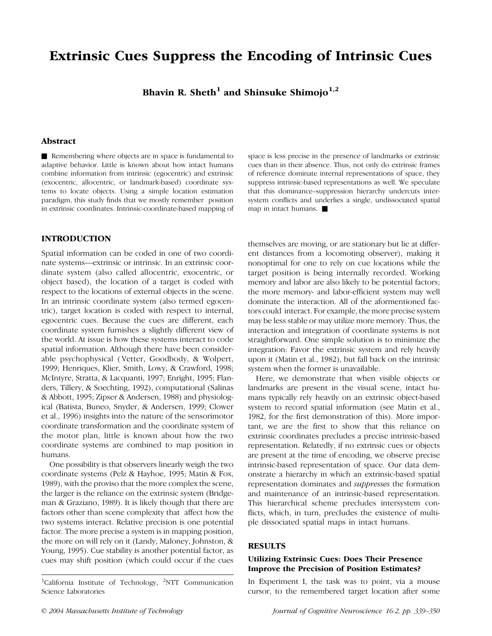# Extrinsic Cues Suppress the Encoding of Intrinsic Cues

Bhavin R. Sheth<sup>1</sup> and Shinsuke Shimojo<sup>1,2</sup>

#### Abstract

& Remembering where objects are in space is fundamental to adaptive behavior. Little is known about how intact humans combine information from intrinsic (egocentric) and extrinsic (exocentric, allocentric, or landmark-based) coordinate systems to locate objects. Using a simple location estimation paradigm, this study finds that we mostly remember position in extrinsic coordinates. Intrinsic-coordinate-based mapping of

## INTRODUCTION

Spatial information can be coded in one of two coordinate systems—extrinsic or intrinsic. In an extrinsic coordinate system (also called allocentric, exocentric, or object based), the location of a target is coded with respect to the locations of external objects in the scene. In an intrinsic coordinate system (also termed egocentric), target location is coded with respect to internal, egocentric cues. Because the cues are different, each coordinate system furnishes a slightly different view of the world. At issue is how these systems interact to code spatial information. Although there have been considerable psychophysical ( Vetter, Goodbody, & Wolpert, 1999; Henriques, Klier, Smith, Lowy, & Crawford, 1998; McIntyre, Stratta, & Lacquanti, 1997; Enright, 1995; Flanders, Tillery, & Soechting, 1992), computational (Salinas & Abbott, 1995; Zipser & Andersen, 1988) and physiological (Batista, Buneo, Snyder, & Andersen, 1999; Clower et al., 1996) insights into the nature of the sensorimotor coordinate transformation and the coordinate system of the motor plan, little is known about how the two coordinate systems are combined to map position in humans.

One possibility is that observers linearly weigh the two coordinate systems (Pelz & Hayhoe, 1995; Matin & Fox, 1989), with the proviso that the more complex the scene, the larger is the reliance on the extrinsic system (Bridgeman & Graziano, 1989). It is likely though that there are factors other than scene complexity that affect how the two systems interact. Relative precision is one potential factor. The more precise a system is in mapping position, the more on will rely on it (Landy, Maloney, Johnston, & Young, 1995). Cue stability is another potential factor, as cues may shift position (which could occur if the cues space is less precise in the presence of landmarks or extrinsic cues than in their absence. Thus, not only do extrinsic frames of reference dominate internal representations of space, they suppress intrinsic-based representations as well. We speculate that this dominance–suppression hierarchy undercuts intersystem conflicts and underlies a single, undissociated spatial map in intact humans.  $\blacksquare$ 

themselves are moving, or are stationary but lie at different distances from a locomoting observer), making it nonoptimal for one to rely on cue locations while the target position is being internally recorded. Working memory and labor are also likely to be potential factors; the more memory- and labor-efficient system may well dominate the interaction. All of the aformentioned factors could interact. For example, the more precise system may be less stable or may utilize more memory. Thus, the interaction and integration of coordinate systems is not straightforward. One simple solution is to minimize the integration: Favor the extrinsic system and rely heavily upon it (Matin et al., 1982), but fall back on the intrinsic system when the former is unavailable.

Here, we demonstrate that when visible objects or landmarks are present in the visual scene, intact humans typically rely heavily on an extrinsic object-based system to record spatial information (see Matin et al., 1982, for the first demonstration of this). More important, we are the first to show that this reliance on extrinsic coordinates precludes a precise intrinsic-based representation. Relatedly, if no extrinsic cues or objects are present at the time of encoding, we observe precise intrinsic-based representation of space. Our data demonstrate a hierarchy in which an extrinsic-based spatial representation dominates and suppresses the formation and maintenance of an intrinsic-based representation. This hierarchical scheme precludes intersystem conflicts, which, in turn, precludes the existence of multiple dissociated spatial maps in intact humans.

#### RESULTS

#### Utilizing Extrinsic Cues: Does Their Presence Improve the Precision of Position Estimates?

In Experiment I, the task was to point, via a mouse cursor, to the remembered target location after some

<sup>&</sup>lt;sup>1</sup>California Institute of Technology, <sup>2</sup>NTT Communication Science Laboratories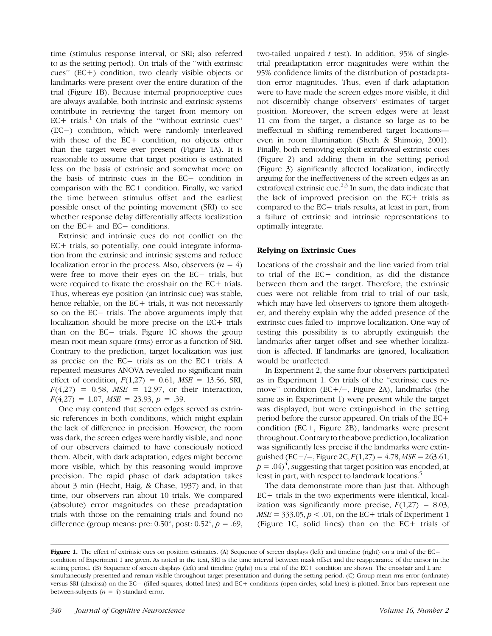time (stimulus response interval, or SRI; also referred to as the setting period). On trials of the ''with extrinsic cues'' (EC+) condition, two clearly visible objects or landmarks were present over the entire duration of the trial (Figure 1B). Because internal proprioceptive cues are always available, both intrinsic and extrinsic systems contribute in retrieving the target from memory on  $EC+$  trials.<sup>1</sup> On trials of the "without extrinsic cues" (EC-) condition, which were randomly interleaved with those of the EC+ condition, no objects other than the target were ever present (Figure 1A). It is reasonable to assume that target position is estimated less on the basis of extrinsic and somewhat more on the basis of intrinsic cues in the EC- condition in comparison with the EC+ condition. Finally, we varied the time between stimulus offset and the earliest possible onset of the pointing movement (SRI) to see whether response delay differentially affects localization on the  $EC+$  and  $EC-$  conditions.

Extrinsic and intrinsic cues do not conflict on the EC+ trials, so potentially, one could integrate information from the extrinsic and intrinsic systems and reduce localization error in the process. Also, observers  $(n = 4)$ were free to move their eyes on the EC- trials, but were required to fixate the crosshair on the EC+ trials. Thus, whereas eye position (an intrinsic cue) was stable, hence reliable, on the EC+ trials, it was not necessarily so on the EC- trials. The above arguments imply that localization should be more precise on the EC+ trials than on the  $EC-$  trials. Figure 1C shows the group mean root mean square (rms) error as a function of SRI. Contrary to the prediction, target localization was just as precise on the EC- trials as on the EC+ trials. A repeated measures ANOVA revealed no significant main effect of condition,  $F(1,27) = 0.61$ ,  $MSE = 13.56$ , SRI,  $F(4,27) = 0.58$ ,  $MSE = 12.97$ , or their interaction,  $F(4,27) = 1.07$ ,  $MSE = 23.93$ ,  $p = .39$ .

One may contend that screen edges served as extrinsic references in both conditions, which might explain the lack of difference in precision. However, the room was dark, the screen edges were hardly visible, and none of our observers claimed to have consciously noticed them. Albeit, with dark adaptation, edges might become more visible, which by this reasoning would improve precision. The rapid phase of dark adaptation takes about 3 min (Hecht, Haig, & Chase, 1937) and, in that time, our observers ran about 10 trials. We compared (absolute) error magnitudes on these preadaptation trials with those on the remaining trials and found no difference (group means: pre:  $0.50^{\circ}$ , post:  $0.52^{\circ}$ ,  $p = .69$ ,

two-tailed unpaired  $t$  test). In addition, 95% of singletrial preadaptation error magnitudes were within the 95% confidence limits of the distribution of postadaptation error magnitudes. Thus, even if dark adaptation were to have made the screen edges more visible, it did not discernibly change observers' estimates of target position. Moreover, the screen edges were at least 11 cm from the target, a distance so large as to be ineffectual in shifting remembered target locations even in room illumination (Sheth & Shimojo, 2001). Finally, both removing explicit extrafoveal extrinsic cues (Figure 2) and adding them in the setting period (Figure 3) significantly affected localization, indirectly arguing for the ineffectiveness of the screen edges as an extrafoveal extrinsic cue.<sup>2,3</sup> In sum, the data indicate that the lack of improved precision on the EC+ trials as compared to the EC- trials results, at least in part, from a failure of extrinsic and intrinsic representations to optimally integrate.

### Relying on Extrinsic Cues

Locations of the crosshair and the line varied from trial to trial of the EC+ condition, as did the distance between them and the target. Therefore, the extrinsic cues were not reliable from trial to trial of our task, which may have led observers to ignore them altogether, and thereby explain why the added presence of the extrinsic cues failed to improve localization. One way of testing this possibility is to abruptly extinguish the landmarks after target offset and see whether localization is affected. If landmarks are ignored, localization would be unaffected.

In Experiment 2, the same four observers participated as in Experiment 1. On trials of the ''extrinsic cues remove" condition  $(EC+/-)$ , Figure 2A), landmarks (the same as in Experiment 1) were present while the target was displayed, but were extinguished in the setting period before the cursor appeared. On trials of the EC+ condition (EC+, Figure 2B), landmarks were present throughout. Contrary to the above prediction, localization was significantly less precise if the landmarks were extinguished (EC+/-, Figure 2C,  $F(1,27) = 4.78$ ,  $MSE = 263.61$ ,  $p = .04)^4$ , suggesting that target position was encoded, at least in part, with respect to landmark locations.<sup>5</sup>

The data demonstrate more than just that. Although EC+ trials in the two experiments were identical, localization was significantly more precise,  $F(1,27) = 8.03$ ,  $MSE = 333.05, p < .01$ , on the EC+ trials of Experiment 1 (Figure 1C, solid lines) than on the EC+ trials of

Figure 1. The effect of extrinsic cues on position estimates. (A) Sequence of screen displays (left) and timeline (right) on a trial of the ECcondition of Experiment 1 are given. As noted in the text, SRI is the time interval between mask offset and the reappearance of the cursor in the setting period. (B) Sequence of screen displays (left) and timeline (right) on a trial of the EC+ condition are shown. The crosshair and L are simultaneously presented and remain visible throughout target presentation and during the setting period. (C) Group mean rms error (ordinate) versus SRI (abscissa) on the EC (filled squares, dotted lines) and EC+ conditions (open circles, solid lines) is plotted. Error bars represent one between-subjects  $(n = 4)$  standard error.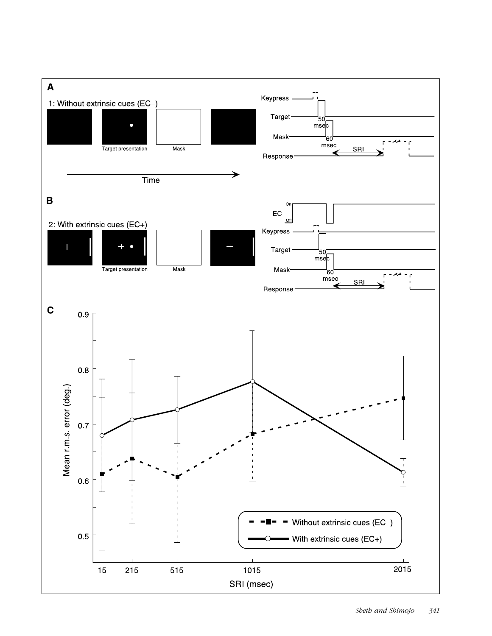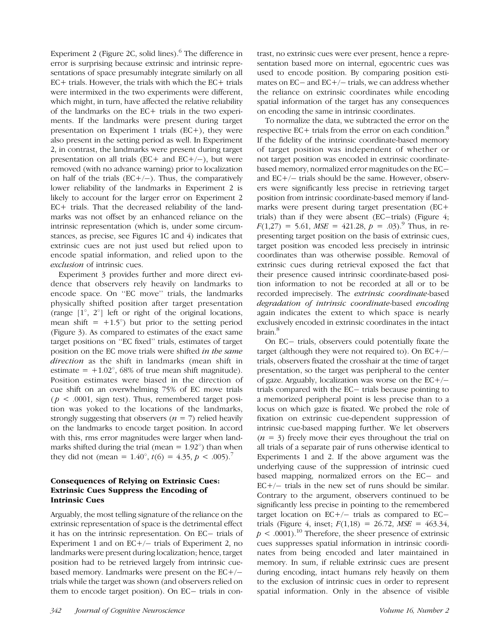Experiment 2 (Figure 2C, solid lines). $6$  The difference in error is surprising because extrinsic and intrinsic representations of space presumably integrate similarly on all EC+ trials. However, the trials with which the EC+ trials were intermixed in the two experiments were different, which might, in turn, have affected the relative reliability of the landmarks on the EC+ trials in the two experiments. If the landmarks were present during target presentation on Experiment 1 trials (EC+), they were also present in the setting period as well. In Experiment 2, in contrast, the landmarks were present during target presentation on all trials (EC+ and  $EC+/-$ ), but were removed (with no advance warning) prior to localization on half of the trials  $(EC+/-)$ . Thus, the comparatively lower reliability of the landmarks in Experiment 2 is likely to account for the larger error on Experiment 2 EC+ trials. That the decreased reliability of the landmarks was not offset by an enhanced reliance on the intrinsic representation (which is, under some circumstances, as precise, see Figures 1C and 4) indicates that extrinsic cues are not just used but relied upon to encode spatial information, and relied upon to the exclusion of intrinsic cues.

Experiment 3 provides further and more direct evidence that observers rely heavily on landmarks to encode space. On ''EC move'' trials, the landmarks physically shifted position after target presentation (range  $[1^{\circ}, 2^{\circ}]$  left or right of the original locations, mean shift =  $+1.5^{\circ}$ ) but prior to the setting period (Figure 3). As compared to estimates of the exact same target positions on ''EC fixed'' trials, estimates of target position on the EC move trials were shifted in the same direction as the shift in landmarks (mean shift in estimate =  $+1.02^{\circ}$ , 68% of true mean shift magnitude). Position estimates were biased in the direction of cue shift on an overwhelming 75% of EC move trials ( $p < .0001$ , sign test). Thus, remembered target position was yoked to the locations of the landmarks, strongly suggesting that observers ( $n = 7$ ) relied heavily on the landmarks to encode target position. In accord with this, rms error magnitudes were larger when landmarks shifted during the trial (mean  $= 1.92^{\circ}$ ) than when they did not (mean =  $1.40^{\circ}$ ,  $t(6) = 4.35$ ,  $p < .005$ ).<sup>7</sup>

# Consequences of Relying on Extrinsic Cues: Extrinsic Cues Suppress the Encoding of Intrinsic Cues

Arguably, the most telling signature of the reliance on the extrinsic representation of space is the detrimental effect it has on the intrinsic representation. On EC- trials of Experiment 1 and on  $EC+/-$  trials of Experiment 2, no landmarks were present during localization; hence, target position had to be retrieved largely from intrinsic cuebased memory. Landmarks were present on the  $EC+/$ trials while the target was shown (and observers relied on them to encode target position). On  $EC-$  trials in contrast, no extrinsic cues were ever present, hence a representation based more on internal, egocentric cues was used to encode position. By comparing position estimates on  $EC-$  and  $EC+$ / $-$  trials, we can address whether the reliance on extrinsic coordinates while encoding spatial information of the target has any consequences on encoding the same in intrinsic coordinates.

To normalize the data, we subtracted the error on the respective EC+ trials from the error on each condition.<sup>8</sup> If the fidelity of the intrinsic coordinate-based memory of target position was independent of whether or not target position was encoded in extrinsic coordinatebased memory, normalized error magnitudes on the EC and  $EC+/-$  trials should be the same. However, observers were significantly less precise in retrieving target position from intrinsic coordinate-based memory if landmarks were present during target presentation (EC+ trials) than if they were absent (EC-trials) (Figure  $4$ ;  $F(1,27) = 5.61$ ,  $MSE = 421.28$ ,  $p = .03$ ). Thus, in representing target position on the basis of extrinsic cues, target position was encoded less precisely in intrinsic coordinates than was otherwise possible. Removal of extrinsic cues during retrieval exposed the fact that their presence caused intrinsic coordinate-based position information to not be recorded at all or to be recorded imprecisely. The extrinsic coordinate-based degradation of intrinsic coordinate-based encoding again indicates the extent to which space is nearly exclusively encoded in extrinsic coordinates in the intact brain.<sup>8</sup>

On EC- trials, observers could potentially fixate the target (although they were not required to). On  $EC+/$ trials, observers fixated the crosshair at the time of target presentation, so the target was peripheral to the center of gaze. Arguably, localization was worse on the EC+/ trials compared with the EC- trials because pointing to a memorized peripheral point is less precise than to a locus on which gaze is fixated. We probed the role of fixation on extrinsic cue-dependent suppression of intrinsic cue-based mapping further. We let observers  $(n = 3)$  freely move their eyes throughout the trial on all trials of a separate pair of runs otherwise identical to Experiments 1 and 2. If the above argument was the underlying cause of the suppression of intrinsic cued based mapping, normalized errors on the EC- and  $EC+/-$  trials in the new set of runs should be similar. Contrary to the argument, observers continued to be significantly less precise in pointing to the remembered target location on  $EC+/-$  trials as compared to  $EC$ trials (Figure 4, inset;  $F(1,18) = 26.72$ ,  $MSE = 463.34$ ,  $p < .0001$ .<sup>10</sup> Therefore, the sheer presence of extrinsic cues suppresses spatial information in intrinsic coordinates from being encoded and later maintained in memory. In sum, if reliable extrinsic cues are present during encoding, intact humans rely heavily on them to the exclusion of intrinsic cues in order to represent spatial information. Only in the absence of visible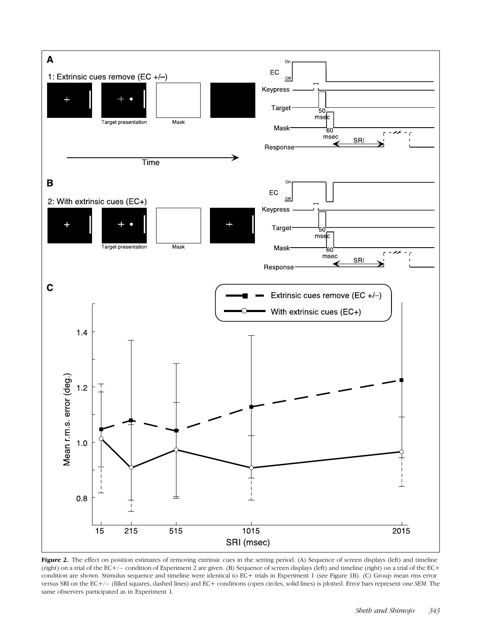

Figure 2. The effect on position estimates of removing extrinsic cues in the setting period. (A) Sequence of screen displays (left) and timeline (right) on a trial of the EC+/ condition of Experiment 2 are given. (B) Sequence of screen displays (left) and timeline (right) on a trial of the EC+ condition are shown. Stimulus sequence and timeline were identical to EC+ trials in Experiment 1 (see Figure 1B). (C) Group mean rms error versus SRI on the EC+/- (filled squares, dashed lines) and EC+ conditions (open circles, solid lines) is plotted. Error bars represent one SEM. The same observers participated as in Experiment 1.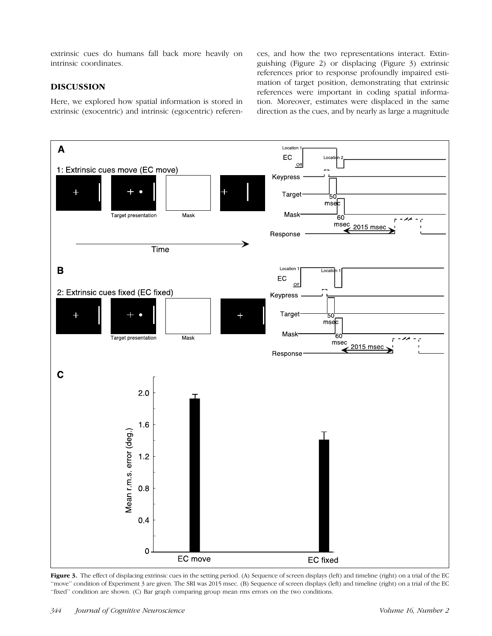extrinsic cues do humans fall back more heavily on intrinsic coordinates.

# DISCUSSION

Here, we explored how spatial information is stored in extrinsic (exocentric) and intrinsic (egocentric) references, and how the two representations interact. Extinguishing (Figure 2) or displacing (Figure 3) extrinsic references prior to response profoundly impaired estimation of target position, demonstrating that extrinsic references were important in coding spatial information. Moreover, estimates were displaced in the same direction as the cues, and by nearly as large a magnitude



Figure 3. The effect of displacing extrinsic cues in the setting period. (A) Sequence of screen displays (left) and timeline (right) on a trial of the EC ''move'' condition of Experiment 3 are given. The SRI was 2015 msec. (B) Sequence of screen displays (left) and timeline (right) on a trial of the EC ''fixed'' condition are shown. (C) Bar graph comparing group mean rms errors on the two conditions.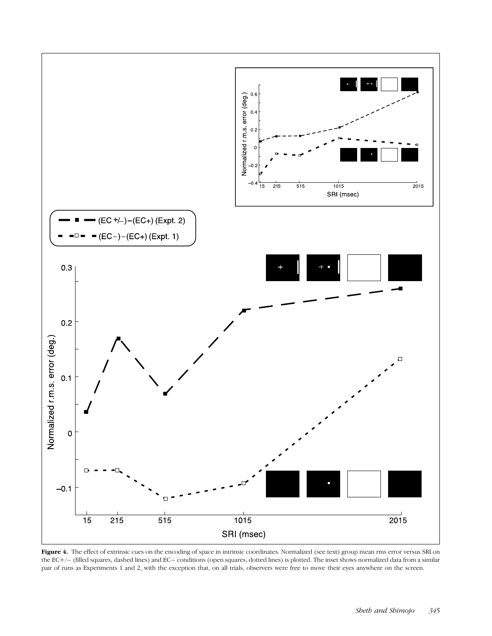

Figure 4. The effect of extrinsic cues on the encoding of space in intrinsic coordinates. Normalized (see text) group mean rms error versus SRI on the EC+/- (filled squares, dashed lines) and EC- conditions (open squares, dotted lines) is plotted. The inset shows normalized data from a similar pair of runs as Experiments 1 and 2, with the exception that, on all trials, observers were free to move their eyes anywhere on the screen.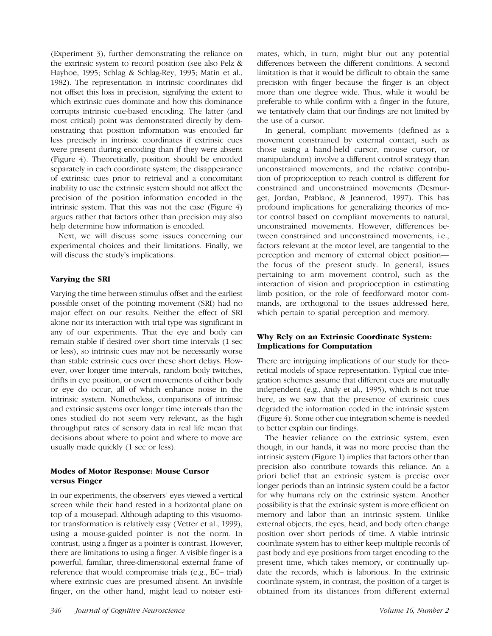(Experiment 3), further demonstrating the reliance on the extrinsic system to record position (see also Pelz & Hayhoe, 1995; Schlag & Schlag-Rey, 1995; Matin et al., 1982). The representation in intrinsic coordinates did not offset this loss in precision, signifying the extent to which extrinsic cues dominate and how this dominance corrupts intrinsic cue-based encoding. The latter (and most critical) point was demonstrated directly by demonstrating that position information was encoded far less precisely in intrinsic coordinates if extrinsic cues were present during encoding than if they were absent (Figure 4). Theoretically, position should be encoded separately in each coordinate system; the disappearance of extrinsic cues prior to retrieval and a concomitant inability to use the extrinsic system should not affect the precision of the position information encoded in the intrinsic system. That this was not the case (Figure 4) argues rather that factors other than precision may also help determine how information is encoded.

Next, we will discuss some issues concerning our experimental choices and their limitations. Finally, we will discuss the study's implications.

# Varying the SRI

Varying the time between stimulus offset and the earliest possible onset of the pointing movement (SRI) had no major effect on our results. Neither the effect of SRI alone nor its interaction with trial type was significant in any of our experiments. That the eye and body can remain stable if desired over short time intervals (1 sec or less), so intrinsic cues may not be necessarily worse than stable extrinsic cues over these short delays. However, over longer time intervals, random body twitches, drifts in eye position, or overt movements of either body or eye do occur, all of which enhance noise in the intrinsic system. Nonetheless, comparisons of intrinsic and extrinsic systems over longer time intervals than the ones studied do not seem very relevant, as the high throughput rates of sensory data in real life mean that decisions about where to point and where to move are usually made quickly (1 sec or less).

### Modes of Motor Response: Mouse Cursor versus Finger

In our experiments, the observers' eyes viewed a vertical screen while their hand rested in a horizontal plane on top of a mousepad. Although adapting to this visuomotor transformation is relatively easy ( Vetter et al., 1999), using a mouse-guided pointer is not the norm. In contrast, using a finger as a pointer is contrast. However, there are limitations to using a finger. A visible finger is a powerful, familiar, three-dimensional external frame of reference that would compromise trials (e.g., EC– trial) where extrinsic cues are presumed absent. An invisible finger, on the other hand, might lead to noisier estimates, which, in turn, might blur out any potential differences between the different conditions. A second limitation is that it would be difficult to obtain the same precision with finger because the finger is an object more than one degree wide. Thus, while it would be preferable to while confirm with a finger in the future, we tentatively claim that our findings are not limited by the use of a cursor.

In general, compliant movements (defined as a movement constrained by external contact, such as those using a hand-held cursor, mouse cursor, or manipulandum) involve a different control strategy than unconstrained movements, and the relative contribution of proprioception to reach control is different for constrained and unconstrained movements (Desmurget, Jordan, Prablanc, & Jeannerod, 1997). This has profound implications for generalizing theories of motor control based on compliant movements to natural, unconstrained movements. However, differences between constrained and unconstrained movements, i.e., factors relevant at the motor level, are tangential to the perception and memory of external object position the focus of the present study. In general, issues pertaining to arm movement control, such as the interaction of vision and proprioception in estimating limb position, or the role of feedforward motor commands, are orthogonal to the issues addressed here, which pertain to spatial perception and memory.

# Why Rely on an Extrinsic Coordinate System: Implications for Computation

There are intriguing implications of our study for theoretical models of space representation. Typical cue integration schemes assume that different cues are mutually independent (e.g., Andy et al., 1995), which is not true here, as we saw that the presence of extrinsic cues degraded the information coded in the intrinsic system (Figure 4). Some other cue integration scheme is needed to better explain our findings.

The heavier reliance on the extrinsic system, even though, in our hands, it was no more precise than the intrinsic system (Figure 1) implies that factors other than precision also contribute towards this reliance. An a priori belief that an extrinsic system is precise over longer periods than an intrinsic system could be a factor for why humans rely on the extrinsic system. Another possibility is that the extrinsic system is more efficient on memory and labor than an intrinsic system. Unlike external objects, the eyes, head, and body often change position over short periods of time. A viable intrinsic coordinate system has to either keep multiple records of past body and eye positions from target encoding to the present time, which takes memory, or continually update the records, which is laborious. In the extrinsic coordinate system, in contrast, the position of a target is obtained from its distances from different external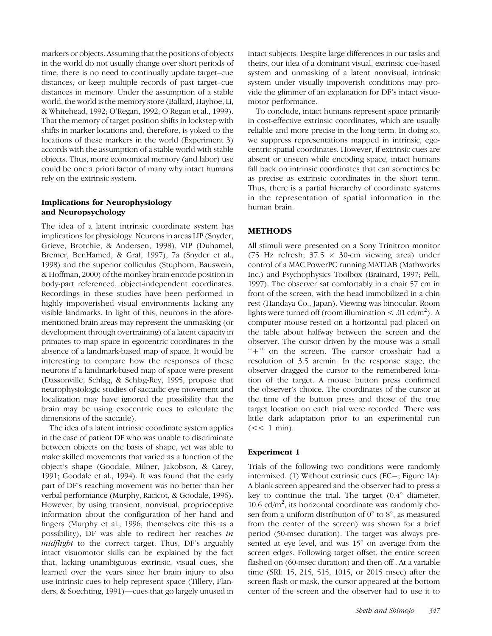markers or objects. Assuming that the positions of objects in the world do not usually change over short periods of time, there is no need to continually update target–cue distances, or keep multiple records of past target–cue distances in memory. Under the assumption of a stable world, the world is the memory store (Ballard, Hayhoe, Li, & Whitehead, 1992; O'Regan, 1992; O'Regan et al., 1999). That the memory of target position shifts in lockstep with shifts in marker locations and, therefore, is yoked to the locations of these markers in the world (Experiment 3) accords with the assumption of a stable world with stable objects. Thus, more economical memory (and labor) use could be one a priori factor of many why intact humans rely on the extrinsic system.

### Implications for Neurophysiology and Neuropsychology

The idea of a latent intrinsic coordinate system has implications for physiology. Neurons in areas LIP (Snyder, Grieve, Brotchie, & Andersen, 1998), VIP (Duhamel, Bremer, BenHamed, & Graf, 1997), 7a (Snyder et al., 1998) and the superior colliculus (Stuphorn, Bauswein, & Hoffman, 2000) of the monkey brain encode position in body-part referenced, object-independent coordinates. Recordings in these studies have been performed in highly impoverished visual environments lacking any visible landmarks. In light of this, neurons in the aforementioned brain areas may represent the unmasking (or development through overtraining) of a latent capacity in primates to map space in egocentric coordinates in the absence of a landmark-based map of space. It would be interesting to compare how the responses of these neurons if a landmark-based map of space were present (Dassonville, Schlag, & Schlag-Rey, 1995, propose that neurophysiologic studies of saccadic eye movement and localization may have ignored the possibility that the brain may be using exocentric cues to calculate the dimensions of the saccade).

The idea of a latent intrinsic coordinate system applies in the case of patient DF who was unable to discriminate between objects on the basis of shape, yet was able to make skilled movements that varied as a function of the object's shape (Goodale, Milner, Jakobson, & Carey, 1991; Goodale et al., 1994). It was found that the early part of DF's reaching movement was no better than her verbal performance (Murphy, Racicot, & Goodale, 1996). However, by using transient, nonvisual, proprioceptive information about the configuration of her hand and fingers (Murphy et al., 1996, themselves cite this as a possibility), DF was able to redirect her reaches in midflight to the correct target. Thus, DF's arguably intact visuomotor skills can be explained by the fact that, lacking unambiguous extrinsic, visual cues, she learned over the years since her brain injury to also use intrinsic cues to help represent space (Tillery, Flanders, & Soechting, 1991)—cues that go largely unused in intact subjects. Despite large differences in our tasks and theirs, our idea of a dominant visual, extrinsic cue-based system and unmasking of a latent nonvisual, intrinsic system under visually impoverish conditions may provide the glimmer of an explanation for DF's intact visuomotor performance.

To conclude, intact humans represent space primarily in cost-effective extrinsic coordinates, which are usually reliable and more precise in the long term. In doing so, we suppress representations mapped in intrinsic, egocentric spatial coordinates. However, if extrinsic cues are absent or unseen while encoding space, intact humans fall back on intrinsic coordinates that can sometimes be as precise as extrinsic coordinates in the short term. Thus, there is a partial hierarchy of coordinate systems in the representation of spatial information in the human brain.

# METHODS

All stimuli were presented on a Sony Trinitron monitor (75 Hz refresh;  $37.5 \times 30$ -cm viewing area) under control of a MAC PowerPC running MATLAB (Mathworks Inc.) and Psychophysics Toolbox (Brainard, 1997; Pelli, 1997). The observer sat comfortably in a chair 57 cm in front of the screen, with the head immobilized in a chin rest (Handaya Co., Japan). Viewing was binocular. Room lights were turned off (room illumination  $\leq 0.01 \text{ cd/m}^2$ ). A computer mouse rested on a horizontal pad placed on the table about halfway between the screen and the observer. The cursor driven by the mouse was a small "+" on the screen. The cursor crosshair had a resolution of 3.5 arcmin. In the response stage, the observer dragged the cursor to the remembered location of the target. A mouse button press confirmed the observer's choice. The coordinates of the cursor at the time of the button press and those of the true target location on each trial were recorded. There was little dark adaptation prior to an experimental run  $(< < 1$  min).

# Experiment 1

Trials of the following two conditions were randomly intermixed. (1) Without extrinsic cues  $(EC-; Figure 1A):$ A blank screen appeared and the observer had to press a key to continue the trial. The target  $(0.4^{\circ}$  diameter,  $10.6$  cd/m<sup>2</sup>, its horizontal coordinate was randomly chosen from a uniform distribution of  $0^{\circ}$  to  $8^{\circ}$ , as measured from the center of the screen) was shown for a brief period (50-msec duration). The target was always presented at eye level, and was  $15^{\circ}$  on average from the screen edges. Following target offset, the entire screen flashed on (60-msec duration) and then off . At a variable time (SRI: 15, 215, 515, 1015, or 2015 msec) after the screen flash or mask, the cursor appeared at the bottom center of the screen and the observer had to use it to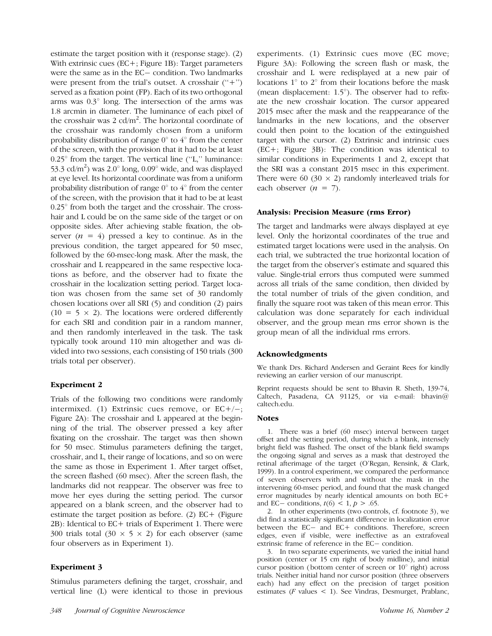estimate the target position with it (response stage). (2) With extrinsic cues (EC+; Figure 1B): Target parameters were the same as in the EC- condition. Two landmarks were present from the trial's outset. A crosshair  $("+")$ served as a fixation point (FP). Each of its two orthogonal arms was  $0.3^\circ$  long. The intersection of the arms was 1.8 arcmin in diameter. The luminance of each pixel of the crosshair was  $2 \text{ cd/m}^2$ . The horizontal coordinate of the crosshair was randomly chosen from a uniform probability distribution of range  $0^\circ$  to  $4^\circ$  from the center of the screen, with the provision that it had to be at least  $0.25^{\circ}$  from the target. The vertical line ("L," luminance: 53.3 cd/m<sup>2</sup>) was 2.0° long, 0.09° wide, and was displayed at eye level. Its horizontal coordinate was from a uniform probability distribution of range  $0^{\circ}$  to  $4^{\circ}$  from the center of the screen, with the provision that it had to be at least  $0.25^{\circ}$  from both the target and the crosshair. The crosshair and L could be on the same side of the target or on opposite sides. After achieving stable fixation, the observer  $(n = 4)$  pressed a key to continue. As in the previous condition, the target appeared for 50 msec, followed by the 60-msec-long mask. After the mask, the crosshair and L reappeared in the same respective locations as before, and the observer had to fixate the crosshair in the localization setting period. Target location was chosen from the same set of 30 randomly chosen locations over all SRI (5) and condition (2) pairs  $(10 = 5 \times 2)$ . The locations were ordered differently for each SRI and condition pair in a random manner, and then randomly interleaved in the task. The task typically took around 110 min altogether and was divided into two sessions, each consisting of 150 trials (300 trials total per observer).

# Experiment 2

Trials of the following two conditions were randomly intermixed. (1) Extrinsic cues remove, or  $EC+/-$ ; Figure 2A): The crosshair and L appeared at the beginning of the trial. The observer pressed a key after fixating on the crosshair. The target was then shown for 50 msec. Stimulus parameters defining the target, crosshair, and L, their range of locations, and so on were the same as those in Experiment 1. After target offset, the screen flashed (60 msec). After the screen flash, the landmarks did not reappear. The observer was free to move her eyes during the setting period. The cursor appeared on a blank screen, and the observer had to estimate the target position as before. (2) EC+ (Figure 2B): Identical to EC+ trials of Experiment 1. There were 300 trials total  $(30 \times 5 \times 2)$  for each observer (same four observers as in Experiment 1).

# Experiment 3

Stimulus parameters defining the target, crosshair, and vertical line (L) were identical to those in previous

experiments. (1) Extrinsic cues move (EC move; Figure 3A): Following the screen flash or mask, the crosshair and L were redisplayed at a new pair of locations  $1^\circ$  to  $2^\circ$  from their locations before the mask (mean displacement:  $1.5^{\circ}$ ). The observer had to refixate the new crosshair location. The cursor appeared 2015 msec after the mask and the reappearance of the landmarks in the new locations, and the observer could then point to the location of the extinguished target with the cursor. (2) Extrinsic and intrinsic cues (EC+; Figure 3B): The condition was identical to similar conditions in Experiments 1 and 2, except that the SRI was a constant 2015 msec in this experiment. There were 60 (30  $\times$  2) randomly interleaved trials for each observer  $(n = 7)$ .

### Analysis: Precision Measure (rms Error)

The target and landmarks were always displayed at eye level. Only the horizontal coordinates of the true and estimated target locations were used in the analysis. On each trial, we subtracted the true horizontal location of the target from the observer's estimate and squared this value. Single-trial errors thus computed were summed across all trials of the same condition, then divided by the total number of trials of the given condition, and finally the square root was taken of this mean error. This calculation was done separately for each individual observer, and the group mean rms error shown is the group mean of all the individual rms errors.

# Acknowledgments

We thank Drs. Richard Andersen and Geraint Rees for kindly reviewing an earlier version of our manuscript.

Reprint requests should be sent to Bhavin R. Sheth, 139-74, Caltech, Pasadena, CA 91125, or via e-mail: bhavin@ caltech.edu.

#### Notes

1. There was a brief (60 msec) interval between target offset and the setting period, during which a blank, intensely bright field was flashed. The onset of the blank field swamps the ongoing signal and serves as a mask that destroyed the retinal afterimage of the target (O'Regan, Rensink, & Clark, 1999). In a control experiment, we compared the performance of seven observers with and without the mask in the intervening 60-msec period, and found that the mask changed error magnitudes by nearly identical amounts on both EC+ and EC– conditions,  $t(6) < 1, p > .65$ .

2. In other experiments (two controls, cf. footnote 3), we did find a statistically significant difference in localization error between the EC- and EC+ conditions. Therefore, screen edges, even if visible, were ineffective as an extrafoveal extrinsic frame of reference in the EC- condition.

3. In two separate experiments, we varied the initial hand position (center or 15 cm right of body midline), and initial cursor position (bottom center of screen or  $10^{\circ}$  right) across trials. Neither initial hand nor cursor position (three observers each) had any effect on the precision of target position estimates (F values < 1). See Vindras, Desmurget, Prablanc,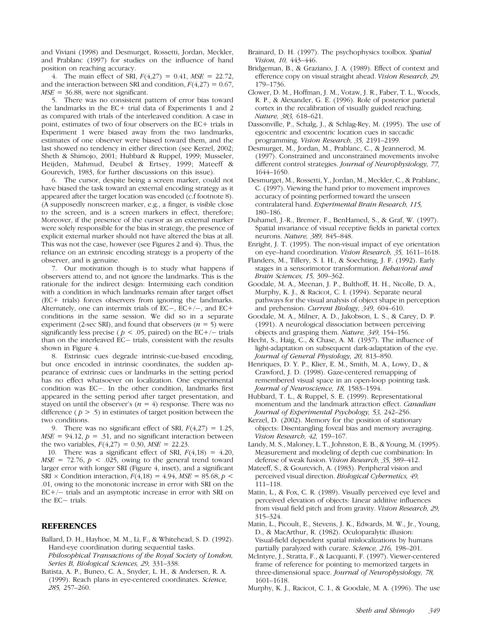and Viviani (1998) and Desmurget, Rossetti, Jordan, Meckler, and Prablanc (1997) for studies on the influence of hand position on reaching accuracy.

4. The main effect of SRI,  $F(4,27) = 0.41$ ,  $MSE = 22.72$ , and the interaction between SRI and condition,  $F(4,27) = 0.67$ ,  $MSE = 36.88$ , were not significant.

5. There was no consistent pattern of error bias toward the landmarks in the EC+ trial data of Experiments 1 and 2 as compared with trials of the interleaved condition. A case in point, estimates of two of four observers on the EC+ trials in Experiment 1 were biased away from the two landmarks, estimates of one observer were biased toward them, and the last showed no tendency in either direction (see Kerzel, 2002; Sheth & Shimojo, 2001; Hubbard & Ruppel, 1999; Musseler, Heijden, Mahmud, Deubel & Ertsey, 1999; Mateeff & Gourevich, 1983, for further discussions on this issue).

6. The cursor, despite being a screen marker, could not have biased the task toward an external encoding strategy as it appeared after the target location was encoded (c.f footnote 8). (A supposedly nonscreen marker, e.g., a finger, is visible close to the screen, and is a screen markers in effect, therefore; Moreover, if the presence of the cursor as an external marker were solely responsible for the bias in strategy, the presence of explicit external marker should not have altered the bias at all. This was not the case, however (see Figures 2 and 4). Thus, the reliance on an extrinsic encoding strategy is a property of the observer, and is genuine.

7. Our motivation though is to study what happens if observers attend to, and not ignore the landmarks. This is the rationale for the indirect design: Intermixing each condition with a condition in which landmarks remain after target offset (EC+ trials) forces observers from ignoring the landmarks. Alternately, one can intermix trials of  $EC-$ ,  $EC+/-$ , and  $EC+$ conditions in the same session. We did so in a separate experiment (2-sec SRI), and found that observers ( $n = 5$ ) were significantly less precise ( $p < .05$ , paired) on the EC+/- trials than on the interleaved EC- trials, consistent with the results shown in Figure 4.

8. Extrinsic cues degrade intrinsic-cue-based encoding, but once encoded in intrinsic coordinates, the sudden appearance of extrinsic cues or landmarks in the setting period has no effect whatsoever on localization. One experimental condition was EC-. In the other condition, landmarks first appeared in the setting period after target presentation, and stayed on until the observer's  $(n = 4)$  response. There was no difference ( $p > .5$ ) in estimates of target position between the two conditions.

9. There was no significant effect of SRI,  $F(4,27) = 1.25$ ,  $MSE = 94.12$ ,  $p = .31$ , and no significant interaction between the two variables,  $F(4,27) = 0.30$ ,  $MSE = 22.23$ .

10. There was a significant effect of SRI,  $F(4,18) = 4.20$ ,  $MSE = 72.76$ ,  $p < .025$ , owing to the general trend toward larger error with longer SRI (Figure 4, inset), and a significant SRI  $\times$  Condition interaction,  $F(4,18) = 4.94$ ,  $MSE = 85.68$ ,  $p <$ .01, owing to the monotonic increase in error with SRI on the  $EC+/-$  trials and an asymptotic increase in error with SRI on the  $EC-$  trials.

#### **REFERENCES**

- Ballard, D. H., Hayhoe, M. M., Li, F., & Whitehead, S. D. (1992). Hand-eye coordination during sequential tasks. Philosophical Transactions of the Royal Society of London, Series B, Biological Sciences, 29, 331–338.
- Batista, A. P., Buneo, C. A., Snyder, L. H., & Andersen, R. A. (1999). Reach plans in eye-centered coordinates. Science, 285, 257–260.
- Brainard, D. H. (1997). The psychophysics toolbox. Spatial Vision, 10, 443–446.
- Bridgeman, B., & Graziano, J. A. (1989). Effect of context and efference copy on visual straight ahead. Vision Research, 29, 179–1736.
- Clower, D. M., Hoffman, J. M., Votaw, J. R., Faber, T. L., Woods, R. P., & Alexander, G. E. (1996). Role of posterior parietal cortex in the recalibration of visually guided reaching. Nature, 383, 618–621.
- Dassonville, P., Schalg, J., & Schlag-Rey, M. (1995). The use of egocentric and exocentric location cues in saccadic programming. Vision Research, 35, 2191–2199.
- Desmurget, M., Jordan, M., Prablanc, C., & Jeannerod, M. (1997). Constrained and unconstrained movements involve different control strategies. Journal of Neurophysiology, 77, 1644–1650.
- Desmurget, M., Rossetti, Y., Jordan, M., Meckler, C., & Prablanc, C. (1997). Viewing the hand prior to movement improves accuracy of pointing performed toward the unseen contralateral hand. Experimental Brain Research, 115, 180–186.
- Duhamel, J.-R., Bremer, F., BenHamed, S., & Graf, W. (1997). Spatial invariance of visual receptive fields in parietal cortex neurons. Nature, 389, 845–848.
- Enright, J. T. (1995). The non-visual impact of eye orientation on eye–hand coordination. Vision Research, 35, 1611–1618.
- Flanders, M., Tillery, S. I. H., & Soechting, J. F. (1992). Early stages in a sensorimotor transformation. Behavioral and Brain Sciences, 15, 309–362.
- Goodale, M. A., Meenan, J. P., Bulthoff, H. H., Nicolle, D. A., Murphy, K. J., & Racicot, C. I. (1994). Separate neural pathways for the visual analysis of object shape in perception and prehension. Current Biology, 349, 604–610.
- Goodale, M. A., Milner, A. D., Jakobson, L. S., & Carey, D. P. (1991). A neurological dissociation between perceiving objects and grasping them. Nature, 349, 154–156.
- Hecht, S., Haig, C., & Chase, A. M. (1937). The influence of light-adaptation on subsequent dark-adaptation of the eye. Journal of General Physiology, 20, 813–850.
- Henriques, D. Y. P., Klier, E. M., Smith, M. A., Lowy, D., & Crawford, J. D. (1998). Gaze-centered remapping of remembered visual space in an open-loop pointing task. Journal of Neuroscience, 18, 1583–1594.
- Hubbard, T. L., & Ruppel, S. E. (1999). Representational momentum and the landmark attraction effect. Canadian Journal of Experimental Psychology, 53, 242–256.
- Kerzel, D. (2002). Memory for the position of stationary objects: Disentangling foveal bias and memory averaging. Vision Research, 42, 159–167.
- Landy, M. S., Maloney, L. T., Johnston, E. B., & Young, M. (1995). Measurement and modeling of depth cue combination: In defense of weak fusion. Vision Research, 35, 389–412.
- Mateeff, S., & Gourevich, A. (1983). Peripheral vision and perceived visual direction. Biological Cybernetics, 49, 111–118.
- Matin, L., & Fox, C. R. (1989). Visually perceived eye level and perceived elevation of objects: Linear additive influences from visual field pitch and from gravity. Vision Research, 29, 315–324.
- Matin, L., Picoult, E., Stevens, J. K., Edwards, M. W., Jr., Young, D., & MacArthur, R. (1982). Oculoparalytic illusion: Visual-field dependent spatial mislocalizations by humans partially paralyzed with curare. Science, 216, 198–201.
- McIntyre, J., Stratta, F., & Lacquanti, F. (1997). Viewer-centered frame of reference for pointing to memorized targets in three-dimensional space. Journal of Neurophysiology, 78, 1601–1618.
- Murphy, K. J., Racicot, C. I., & Goodale, M. A. (1996). The use